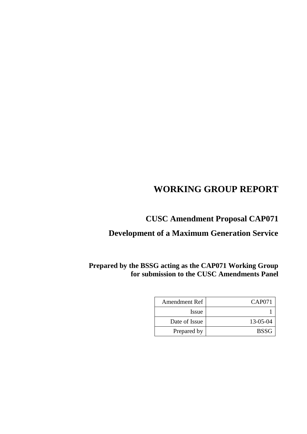# **WORKING GROUP REPORT**

# **CUSC Amendment Proposal CAP071**

# **Development of a Maximum Generation Service**

# **Prepared by the BSSG acting as the CAP071 Working Group for submission to the CUSC Amendments Panel**

| <b>Amendment Ref</b> | CAP071      |
|----------------------|-------------|
| <i>Issue</i>         |             |
| Date of Issue        | 13-05-04    |
| Prepared by          | <b>BSSG</b> |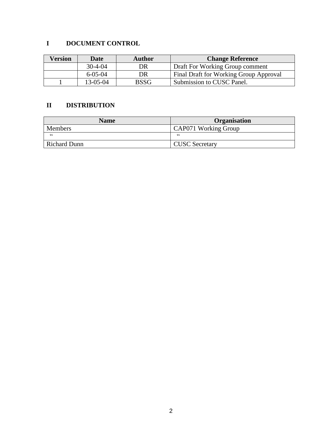# **I DOCUMENT CONTROL**

| <b>Version</b>        | <b>Author</b><br>Date |             | <b>Change Reference</b>                |  |
|-----------------------|-----------------------|-------------|----------------------------------------|--|
|                       | $30-4-04$<br>DR       |             | Draft For Working Group comment        |  |
| $6 - 0.5 - 0.4$<br>DR |                       |             | Final Draft for Working Group Approval |  |
|                       | $13-05-04$            | <b>BSSG</b> | Submission to CUSC Panel.              |  |

## **II DISTRIBUTION**

| <b>Name</b>    | Organisation          |  |
|----------------|-----------------------|--|
| <b>Members</b> | CAP071 Working Group  |  |
| cc             | cc                    |  |
| Richard Dunn   | <b>CUSC</b> Secretary |  |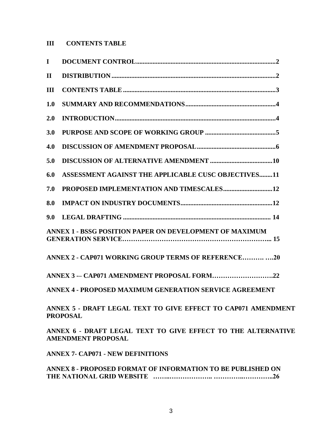# **III CONTENTS TABLE**

| $\mathbf I$  |                                                                                                                                                                                                                                                                                                                                          |
|--------------|------------------------------------------------------------------------------------------------------------------------------------------------------------------------------------------------------------------------------------------------------------------------------------------------------------------------------------------|
| $\mathbf{I}$ |                                                                                                                                                                                                                                                                                                                                          |
| III          |                                                                                                                                                                                                                                                                                                                                          |
| 1.0          |                                                                                                                                                                                                                                                                                                                                          |
| 2.0          |                                                                                                                                                                                                                                                                                                                                          |
| 3.0          |                                                                                                                                                                                                                                                                                                                                          |
| 4.0          |                                                                                                                                                                                                                                                                                                                                          |
| 5.0          |                                                                                                                                                                                                                                                                                                                                          |
| 6.0          | <b>ASSESSMENT AGAINST THE APPLICABLE CUSC OBJECTIVES11</b>                                                                                                                                                                                                                                                                               |
| 7.0          | PROPOSED IMPLEMENTATION AND TIMESCALES12                                                                                                                                                                                                                                                                                                 |
| 8.0          |                                                                                                                                                                                                                                                                                                                                          |
| 9.0          |                                                                                                                                                                                                                                                                                                                                          |
|              | <b>ANNEX 1 - BSSG POSITION PAPER ON DEVELOPMENT OF MAXIMUM</b>                                                                                                                                                                                                                                                                           |
|              | ANNEX 2 - CAP071 WORKING GROUP TERMS OF REFERENCE 20                                                                                                                                                                                                                                                                                     |
|              | ANNEX 3- CAP071 AMENDMENT PROPOSAL FORM22                                                                                                                                                                                                                                                                                                |
|              | <b>ANNEX 4 - PROPOSED MAXIMUM GENERATION SERVICE AGREEMENT</b>                                                                                                                                                                                                                                                                           |
|              | ANNEX 5 - DRAFT LEGAL TEXT TO GIVE EFFECT TO CAP071 AMENDMENT<br><b>PROPOSAL</b>                                                                                                                                                                                                                                                         |
|              | $\overline{AB}$ in $\overline{B}$ and $\overline{B}$ in $\overline{B}$ in $\overline{B}$ and $\overline{B}$ and $\overline{B}$ and $\overline{B}$ and $\overline{B}$ and $\overline{B}$ and $\overline{B}$ and $\overline{B}$ and $\overline{B}$ and $\overline{B}$ and $\overline{B}$ and $\overline{B}$ and $\overline{B}$ and $\over$ |

**ANNEX 6 - DRAFT LEGAL TEXT TO GIVE EFFECT TO THE ALTERNATIVE AMENDMENT PROPOSAL**

**ANNEX 7- CAP071 - NEW DEFINITIONS**

**ANNEX 8 - PROPOSED FORMAT OF INFORMATION TO BE PUBLISHED ON THE NATIONAL GRID WEBSITE ……..……………….. …………..…………..26**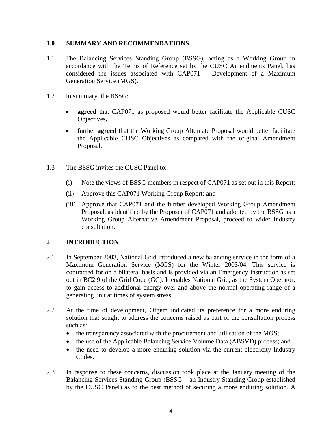#### **1.0 SUMMARY AND RECOMMENDATIONS**

- 1.1 The Balancing Services Standing Group (BSSG), acting as a Working Group in accordance with the Terms of Reference set by the CUSC Amendments Panel, has considered the issues associated with CAP071 – Development of a Maximum Generation Service (MGS).
- 1.2 In summary, the BSSG:
	- agreed that CAP071 as proposed would better facilitate the Applicable CUSC Objectives**.**
	- further **agreed** that the Working Group Alternate Proposal would better facilitate the Applicable CUSC Objectives as compared with the original Amendment Proposal.
- 1.3 The BSSG invites the CUSC Panel to:
	- (i) Note the views of BSSG members in respect of CAP071 as set out in this Report;
	- (ii) Approve this CAP071 Working Group Report; and
	- (iii) Approve that CAP071 and the further developed Working Group Amendment Proposal, as identified by the Proposer of CAP071 and adopted by the BSSG as a Working Group Alternative Amendment Proposal, proceed to wider Industry consultation.

## **2 INTRODUCTION**

- 2.1 In September 2003, National Grid introduced a new balancing service in the form of a Maximum Generation Service (MGS) for the Winter 2003/04. This service is contracted for on a bilateral basis and is provided via an Emergency Instruction as set out in BC2.9 of the Grid Code (GC). It enables National Grid, as the System Operator, to gain access to additional energy over and above the normal operating range of a generating unit at times of system stress.
- 2.2 At the time of development, Ofgem indicated its preference for a more enduring solution that sought to address the concerns raised as part of the consultation process such as:
	- the transparency associated with the procurement and utilisation of the MGS;
	- the use of the Applicable Balancing Service Volume Data (ABSVD) process; and
	- the need to develop a more enduring solution via the current electricity Industry Codes.
- 2.3 In response to these concerns, discussion took place at the January meeting of the Balancing Services Standing Group (BSSG – an Industry Standing Group established by the CUSC Panel) as to the best method of securing a more enduring solution. A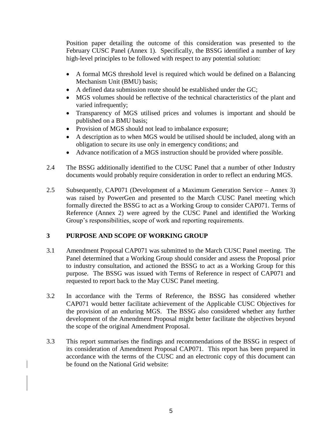Position paper detailing the outcome of this consideration was presented to the February CUSC Panel (Annex 1). Specifically, the BSSG identified a number of key high-level principles to be followed with respect to any potential solution:

- A formal MGS threshold level is required which would be defined on a Balancing Mechanism Unit (BMU) basis;
- A defined data submission route should be established under the GC;
- MGS volumes should be reflective of the technical characteristics of the plant and varied infrequently;
- Transparency of MGS utilised prices and volumes is important and should be published on a BMU basis;
- Provision of MGS should not lead to imbalance exposure;
- A description as to when MGS would be utilised should be included, along with an obligation to secure its use only in emergency conditions; and
- Advance notification of a MGS instruction should be provided where possible.
- 2.4 The BSSG additionally identified to the CUSC Panel that a number of other Industry documents would probably require consideration in order to reflect an enduring MGS.
- 2.5 Subsequently, CAP071 (Development of a Maximum Generation Service Annex 3) was raised by PowerGen and presented to the March CUSC Panel meeting which formally directed the BSSG to act as a Working Group to consider CAP071. Terms of Reference (Annex 2) were agreed by the CUSC Panel and identified the Working Group's responsibilities, scope of work and reporting requirements.

## **3 PURPOSE AND SCOPE OF WORKING GROUP**

- 3.1 Amendment Proposal CAP071 was submitted to the March CUSC Panel meeting. The Panel determined that a Working Group should consider and assess the Proposal prior to industry consultation, and actioned the BSSG to act as a Working Group for this purpose. The BSSG was issued with Terms of Reference in respect of CAP071 and requested to report back to the May CUSC Panel meeting.
- 3.2 In accordance with the Terms of Reference, the BSSG has considered whether CAP071 would better facilitate achievement of the Applicable CUSC Objectives for the provision of an enduring MGS. The BSSG also considered whether any further development of the Amendment Proposal might better facilitate the objectives beyond the scope of the original Amendment Proposal.
- 3.3 This report summarises the findings and recommendations of the BSSG in respect of its consideration of Amendment Proposal CAP071. This report has been prepared in accordance with the terms of the CUSC and an electronic copy of this document can be found on the National Grid website: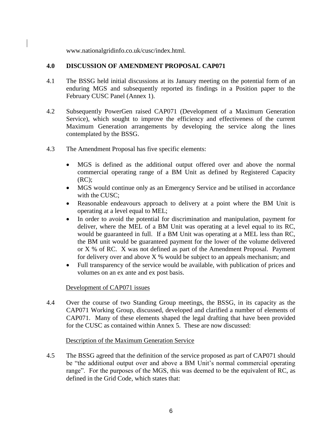www.nationalgridinfo.co.uk/cusc/index.html.

#### **4.0 DISCUSSION OF AMENDMENT PROPOSAL CAP071**

- 4.1 The BSSG held initial discussions at its January meeting on the potential form of an enduring MGS and subsequently reported its findings in a Position paper to the February CUSC Panel (Annex 1).
- 4.2 Subsequently PowerGen raised CAP071 (Development of a Maximum Generation Service), which sought to improve the efficiency and effectiveness of the current Maximum Generation arrangements by developing the service along the lines contemplated by the BSSG.
- 4.3 The Amendment Proposal has five specific elements:
	- MGS is defined as the additional output offered over and above the normal commercial operating range of a BM Unit as defined by Registered Capacity (RC);
	- MGS would continue only as an Emergency Service and be utilised in accordance with the CUSC;
	- Reasonable endeavours approach to delivery at a point where the BM Unit is operating at a level equal to MEL;
	- In order to avoid the potential for discrimination and manipulation, payment for deliver, where the MEL of a BM Unit was operating at a level equal to its RC, would be guaranteed in full. If a BM Unit was operating at a MEL less than RC, the BM unit would be guaranteed payment for the lower of the volume delivered or X % of RC. X was not defined as part of the Amendment Proposal. Payment for delivery over and above  $X$ % would be subject to an appeals mechanism; and
	- Full transparency of the service would be available, with publication of prices and volumes on an ex ante and ex post basis.

#### Development of CAP071 issues

4.4 Over the course of two Standing Group meetings, the BSSG, in its capacity as the CAP071 Working Group, discussed, developed and clarified a number of elements of CAP071. Many of these elements shaped the legal drafting that have been provided for the CUSC as contained within Annex 5. These are now discussed:

## Description of the Maximum Generation Service

4.5 The BSSG agreed that the definition of the service proposed as part of CAP071 should be "the additional output over and above a BM Unit's normal commercial operating range". For the purposes of the MGS, this was deemed to be the equivalent of RC, as defined in the Grid Code, which states that: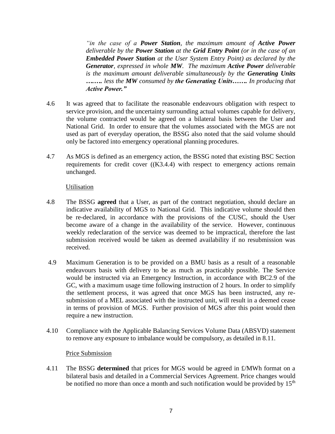*"in the case of a Power Station, the maximum amount of Active Power deliverable by the Power Station at the Grid Entry Point (or in the case of an Embedded Power Station at the User System Entry Point) as declared by the Generator, expressed in whole MW. The maximum Active Power deliverable is the maximum amount deliverable simultaneously by the Generating Units ….…. less the MW consumed by the Generating Units……. In producing that Active Power."*

- 4.6 It was agreed that to facilitate the reasonable endeavours obligation with respect to service provision, and the uncertainty surrounding actual volumes capable for delivery, the volume contracted would be agreed on a bilateral basis between the User and National Grid. In order to ensure that the volumes associated with the MGS are not used as part of everyday operation, the BSSG also noted that the said volume should only be factored into emergency operational planning procedures*.*
- 4.7 As MGS is defined as an emergency action, the BSSG noted that existing BSC Section requirements for credit cover ((K3.4.4) with respect to emergency actions remain unchanged.

#### **Utilisation**

- 4.8 The BSSG **agreed** that a User, as part of the contract negotiation, should declare an indicative availability of MGS to National Grid. This indicative volume should then be re-declared, in accordance with the provisions of the CUSC, should the User become aware of a change in the availability of the service. However, continuous weekly redeclaration of the service was deemed to be impractical, therefore the last submission received would be taken as deemed availability if no resubmission was received.
- 4.9 Maximum Generation is to be provided on a BMU basis as a result of a reasonable endeavours basis with delivery to be as much as practicably possible. The Service would be instructed via an Emergency Instruction, in accordance with BC2.9 of the GC, with a maximum usage time following instruction of 2 hours. In order to simplify the settlement process, it was agreed that once MGS has been instructed, any resubmission of a MEL associated with the instructed unit, will result in a deemed cease in terms of provision of MGS. Further provision of MGS after this point would then require a new instruction.
- 4.10 Compliance with the Applicable Balancing Services Volume Data (ABSVD) statement to remove any exposure to imbalance would be compulsory, as detailed in 8.11.

#### Price Submission

4.11 The BSSG **determined** that prices for MGS would be agreed in £/MWh format on a bilateral basis and detailed in a Commercial Services Agreement. Price changes would be notified no more than once a month and such notification would be provided by 15<sup>th</sup>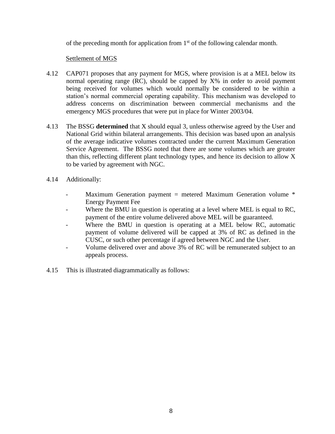of the preceding month for application from  $1<sup>st</sup>$  of the following calendar month.

#### Settlement of MGS

- 4.12 CAP071 proposes that any payment for MGS, where provision is at a MEL below its normal operating range (RC), should be capped by X% in order to avoid payment being received for volumes which would normally be considered to be within a station's normal commercial operating capability. This mechanism was developed to address concerns on discrimination between commercial mechanisms and the emergency MGS procedures that were put in place for Winter 2003/04.
- 4.13 The BSSG **determined** that X should equal 3, unless otherwise agreed by the User and National Grid within bilateral arrangements. This decision was based upon an analysis of the average indicative volumes contracted under the current Maximum Generation Service Agreement. The BSSG noted that there are some volumes which are greater than this, reflecting different plant technology types, and hence its decision to allow X to be varied by agreement with NGC.
- 4.14 Additionally:
	- Maximum Generation payment = metered Maximum Generation volume \* Energy Payment Fee
	- Where the BMU in question is operating at a level where MEL is equal to RC, payment of the entire volume delivered above MEL will be guaranteed.
	- Where the BMU in question is operating at a MEL below RC, automatic payment of volume delivered will be capped at 3% of RC as defined in the CUSC, or such other percentage if agreed between NGC and the User.
	- Volume delivered over and above 3% of RC will be remunerated subject to an appeals process.
- 4.15 This is illustrated diagrammatically as follows: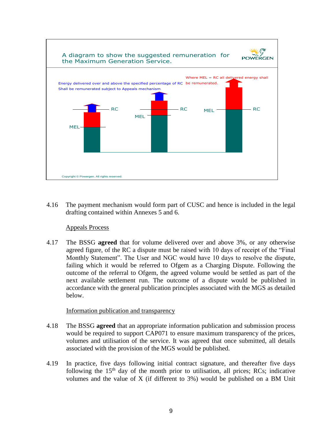

4.16 The payment mechanism would form part of CUSC and hence is included in the legal drafting contained within Annexes 5 and 6.

#### Appeals Process

4.17 The BSSG **agreed** that for volume delivered over and above 3%, or any otherwise agreed figure, of the RC a dispute must be raised with 10 days of receipt of the "Final Monthly Statement". The User and NGC would have 10 days to resolve the dispute, failing which it would be referred to Ofgem as a Charging Dispute. Following the outcome of the referral to Ofgem, the agreed volume would be settled as part of the next available settlement run. The outcome of a dispute would be published in accordance with the general publication principles associated with the MGS as detailed below.

#### Information publication and transparency

- 4.18 The BSSG **agreed** that an appropriate information publication and submission process would be required to support CAP071 to ensure maximum transparency of the prices, volumes and utilisation of the service. It was agreed that once submitted, all details associated with the provision of the MGS would be published.
- 4.19 In practice, five days following initial contract signature, and thereafter five days following the  $15<sup>th</sup>$  day of the month prior to utilisation, all prices; RCs; indicative volumes and the value of X (if different to 3%) would be published on a BM Unit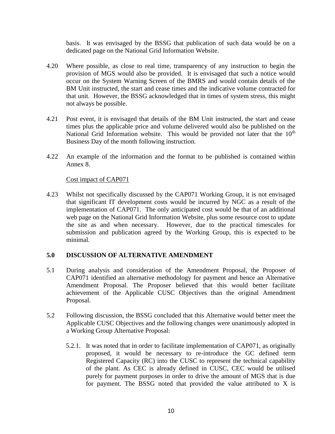basis. It was envisaged by the BSSG that publication of such data would be on a dedicated page on the National Grid Information Website.

- 4.20 Where possible, as close to real time, transparency of any instruction to begin the provision of MGS would also be provided. It is envisaged that such a notice would occur on the System Warning Screen of the BMRS and would contain details of the BM Unit instructed, the start and cease times and the indicative volume contracted for that unit. However, the BSSG acknowledged that in times of system stress, this might not always be possible.
- 4.21 Post event, it is envisaged that details of the BM Unit instructed, the start and cease times plus the applicable price and volume delivered would also be published on the National Grid Information website. This would be provided not later that the  $10<sup>th</sup>$ Business Day of the month following instruction.
- 4.22 An example of the information and the format to be published is contained within Annex 8.

#### Cost impact of CAP071

4.23 Whilst not specifically discussed by the CAP071 Working Group, it is not envisaged that significant IT development costs would be incurred by NGC as a result of the implementation of CAP071. The only anticipated cost would be that of an additional web page on the National Grid Information Website, plus some resource cost to update the site as and when necessary. However, due to the practical timescales for submission and publication agreed by the Working Group, this is expected to be minimal.

#### **5.0 DISCUSSION OF ALTERNATIVE AMENDMENT**

- 5.1 During analysis and consideration of the Amendment Proposal, the Proposer of CAP071 identified an alternative methodology for payment and hence an Alternative Amendment Proposal. The Proposer believed that this would better facilitate achievement of the Applicable CUSC Objectives than the original Amendment Proposal.
- 5.2 Following discussion, the BSSG concluded that this Alternative would better meet the Applicable CUSC Objectives and the following changes were unanimously adopted in a Working Group Alternative Proposal:
	- 5.2.1. It was noted that in order to facilitate implementation of CAP071, as originally proposed, it would be necessary to re-introduce the GC defined term Registered Capacity (RC) into the CUSC to represent the technical capability of the plant. As CEC is already defined in CUSC, CEC would be utilised purely for payment purposes in order to drive the amount of MGS that is due for payment. The BSSG noted that provided the value attributed to X is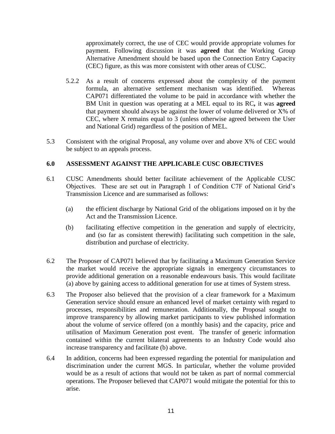approximately correct, the use of CEC would provide appropriate volumes for payment. Following discussion it was **agreed** that the Working Group Alternative Amendment should be based upon the Connection Entry Capacity (CEC) figure, as this was more consistent with other areas of CUSC.

- 5.2.2 As a result of concerns expressed about the complexity of the payment formula, an alternative settlement mechanism was identified. Whereas CAP071 differentiated the volume to be paid in accordance with whether the BM Unit in question was operating at a MEL equal to its RC*,* it was **agreed** that payment should always be against the lower of volume delivered or X% of CEC, where X remains equal to 3 (unless otherwise agreed between the User and National Grid) regardless of the position of MEL.
- 5.3 Consistent with the original Proposal, any volume over and above X% of CEC would be subject to an appeals process.

## **6.0 ASSESSMENT AGAINST THE APPLICABLE CUSC OBJECTIVES**

- 6.1 CUSC Amendments should better facilitate achievement of the Applicable CUSC Objectives. These are set out in Paragraph 1 of Condition C7F of National Grid's Transmission Licence and are summarised as follows:
	- (a) the efficient discharge by National Grid of the obligations imposed on it by the Act and the Transmission Licence.
	- (b) facilitating effective competition in the generation and supply of electricity, and (so far as consistent therewith) facilitating such competition in the sale, distribution and purchase of electricity.
- 6.2 The Proposer of CAP071 believed that by facilitating a Maximum Generation Service the market would receive the appropriate signals in emergency circumstances to provide additional generation on a reasonable endeavours basis. This would facilitate (a) above by gaining access to additional generation for use at times of System stress.
- 6.3 The Proposer also believed that the provision of a clear framework for a Maximum Generation service should ensure an enhanced level of market certainty with regard to processes, responsibilities and remuneration. Additionally, the Proposal sought to improve transparency by allowing market participants to view published information about the volume of service offered (on a monthly basis) and the capacity, price and utilisation of Maximum Generation post event. The transfer of generic information contained within the current bilateral agreements to an Industry Code would also increase transparency and facilitate (b) above.
- 6.4 In addition, concerns had been expressed regarding the potential for manipulation and discrimination under the current MGS. In particular, whether the volume provided would be as a result of actions that would not be taken as part of normal commercial operations. The Proposer believed that CAP071 would mitigate the potential for this to arise.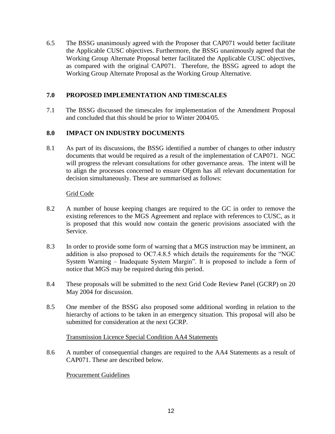6.5 The BSSG unanimously agreed with the Proposer that CAP071 would better facilitate the Applicable CUSC objectives. Furthermore, the BSSG unanimously agreed that the Working Group Alternate Proposal better facilitated the Applicable CUSC objectives, as compared with the original CAP071. Therefore, the BSSG agreed to adopt the Working Group Alternate Proposal as the Working Group Alternative.

## **7.0 PROPOSED IMPLEMENTATION AND TIMESCALES**

7.1 The BSSG discussed the timescales for implementation of the Amendment Proposal and concluded that this should be prior to Winter 2004/05.

## **8.0 IMPACT ON INDUSTRY DOCUMENTS**

8.1 As part of its discussions, the BSSG identified a number of changes to other industry documents that would be required as a result of the implementation of CAP071. NGC will progress the relevant consultations for other governance areas. The intent will be to align the processes concerned to ensure Ofgem has all relevant documentation for decision simultaneously. These are summarised as follows:

## Grid Code

- 8.2 A number of house keeping changes are required to the GC in order to remove the existing references to the MGS Agreement and replace with references to CUSC, as it is proposed that this would now contain the generic provisions associated with the Service.
- 8.3 In order to provide some form of warning that a MGS instruction may be imminent, an addition is also proposed to OC7.4.8.5 which details the requirements for the "NGC System Warning – Inadequate System Margin". It is proposed to include a form of notice that MGS may be required during this period.
- 8.4 These proposals will be submitted to the next Grid Code Review Panel (GCRP) on 20 May 2004 for discussion.
- 8.5 One member of the BSSG also proposed some additional wording in relation to the hierarchy of actions to be taken in an emergency situation. This proposal will also be submitted for consideration at the next GCRP.

#### Transmission Licence Special Condition AA4 Statements

8.6 A number of consequential changes are required to the AA4 Statements as a result of CAP071. These are described below.

Procurement Guidelines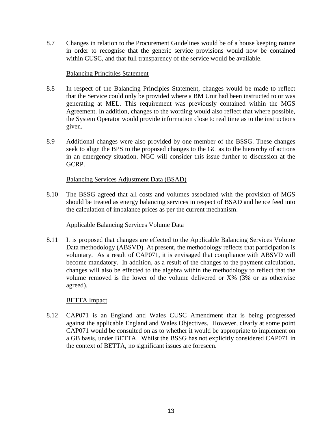8.7 Changes in relation to the Procurement Guidelines would be of a house keeping nature in order to recognise that the generic service provisions would now be contained within CUSC, and that full transparency of the service would be available.

#### Balancing Principles Statement

- 8.8 In respect of the Balancing Principles Statement, changes would be made to reflect that the Service could only be provided where a BM Unit had been instructed to or was generating at MEL. This requirement was previously contained within the MGS Agreement. In addition, changes to the wording would also reflect that where possible, the System Operator would provide information close to real time as to the instructions given.
- 8.9 Additional changes were also provided by one member of the BSSG. These changes seek to align the BPS to the proposed changes to the GC as to the hierarchy of actions in an emergency situation. NGC will consider this issue further to discussion at the GCRP.

#### Balancing Services Adjustment Data (BSAD)

8.10 The BSSG agreed that all costs and volumes associated with the provision of MGS should be treated as energy balancing services in respect of BSAD and hence feed into the calculation of imbalance prices as per the current mechanism.

## Applicable Balancing Services Volume Data

8.11 It is proposed that changes are effected to the Applicable Balancing Services Volume Data methodology (ABSVD). At present, the methodology reflects that participation is voluntary. As a result of CAP071, it is envisaged that compliance with ABSVD will become mandatory. In addition, as a result of the changes to the payment calculation, changes will also be effected to the algebra within the methodology to reflect that the volume removed is the lower of the volume delivered or X% (3% or as otherwise agreed).

#### BETTA Impact

8.12 CAP071 is an England and Wales CUSC Amendment that is being progressed against the applicable England and Wales Objectives. However, clearly at some point CAP071 would be consulted on as to whether it would be appropriate to implement on a GB basis, under BETTA. Whilst the BSSG has not explicitly considered CAP071 in the context of BETTA, no significant issues are foreseen.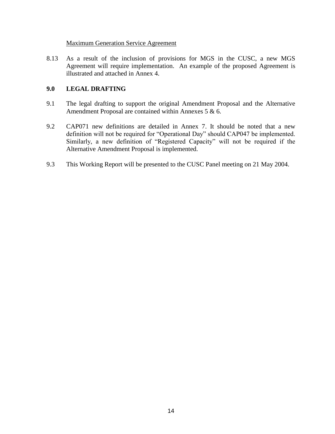#### Maximum Generation Service Agreement

8.13 As a result of the inclusion of provisions for MGS in the CUSC, a new MGS Agreement will require implementation. An example of the proposed Agreement is illustrated and attached in Annex 4.

## **9.0 LEGAL DRAFTING**

- 9.1 The legal drafting to support the original Amendment Proposal and the Alternative Amendment Proposal are contained within Annexes 5 & 6.
- 9.2 CAP071 new definitions are detailed in Annex 7. It should be noted that a new definition will not be required for "Operational Day" should CAP047 be implemented. Similarly, a new definition of "Registered Capacity" will not be required if the Alternative Amendment Proposal is implemented.
- 9.3 This Working Report will be presented to the CUSC Panel meeting on 21 May 2004.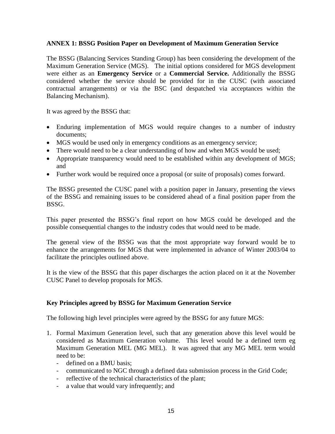#### **ANNEX 1: BSSG Position Paper on Development of Maximum Generation Service**

The BSSG (Balancing Services Standing Group) has been considering the development of the Maximum Generation Service (MGS). The initial options considered for MGS development were either as an **Emergency Service** or a **Commercial Service.** Additionally the BSSG considered whether the service should be provided for in the CUSC (with associated contractual arrangements) or via the BSC (and despatched via acceptances within the Balancing Mechanism).

It was agreed by the BSSG that:

- Enduring implementation of MGS would require changes to a number of industry documents;
- MGS would be used only in emergency conditions as an emergency service;
- There would need to be a clear understanding of how and when MGS would be used;
- Appropriate transparency would need to be established within any development of MGS; and
- Further work would be required once a proposal (or suite of proposals) comes forward.

The BSSG presented the CUSC panel with a position paper in January, presenting the views of the BSSG and remaining issues to be considered ahead of a final position paper from the BSSG.

This paper presented the BSSG's final report on how MGS could be developed and the possible consequential changes to the industry codes that would need to be made.

The general view of the BSSG was that the most appropriate way forward would be to enhance the arrangements for MGS that were implemented in advance of Winter 2003/04 to facilitate the principles outlined above.

It is the view of the BSSG that this paper discharges the action placed on it at the November CUSC Panel to develop proposals for MGS.

## **Key Principles agreed by BSSG for Maximum Generation Service**

The following high level principles were agreed by the BSSG for any future MGS:

- 1. Formal Maximum Generation level, such that any generation above this level would be considered as Maximum Generation volume. This level would be a defined term eg Maximum Generation MEL (MG MEL). It was agreed that any MG MEL term would need to be:
	- defined on a BMU basis;
	- communicated to NGC through a defined data submission process in the Grid Code;
	- reflective of the technical characteristics of the plant;
	- a value that would vary infrequently; and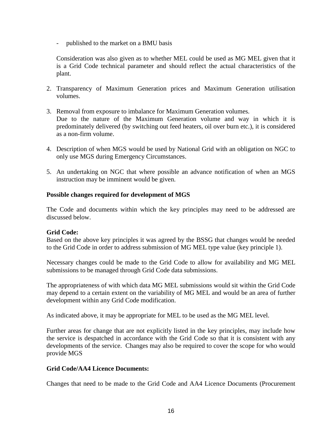- published to the market on a BMU basis

Consideration was also given as to whether MEL could be used as MG MEL given that it is a Grid Code technical parameter and should reflect the actual characteristics of the plant.

- 2. Transparency of Maximum Generation prices and Maximum Generation utilisation volumes.
- 3. Removal from exposure to imbalance for Maximum Generation volumes. Due to the nature of the Maximum Generation volume and way in which it is predominately delivered (by switching out feed heaters, oil over burn etc.), it is considered as a non-firm volume.
- 4. Description of when MGS would be used by National Grid with an obligation on NGC to only use MGS during Emergency Circumstances.
- 5. An undertaking on NGC that where possible an advance notification of when an MGS instruction may be imminent would be given.

#### **Possible changes required for development of MGS**

The Code and documents within which the key principles may need to be addressed are discussed below.

#### **Grid Code:**

Based on the above key principles it was agreed by the BSSG that changes would be needed to the Grid Code in order to address submission of MG MEL type value (key principle 1).

Necessary changes could be made to the Grid Code to allow for availability and MG MEL submissions to be managed through Grid Code data submissions.

The appropriateness of with which data MG MEL submissions would sit within the Grid Code may depend to a certain extent on the variability of MG MEL and would be an area of further development within any Grid Code modification.

As indicated above, it may be appropriate for MEL to be used as the MG MEL level.

Further areas for change that are not explicitly listed in the key principles, may include how the service is despatched in accordance with the Grid Code so that it is consistent with any developments of the service. Changes may also be required to cover the scope for who would provide MGS

#### **Grid Code/AA4 Licence Documents:**

Changes that need to be made to the Grid Code and AA4 Licence Documents (Procurement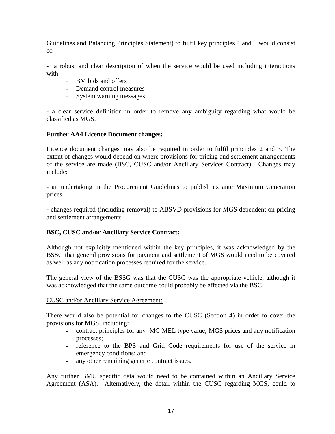Guidelines and Balancing Principles Statement) to fulfil key principles 4 and 5 would consist of:

- a robust and clear description of when the service would be used including interactions with:

- BM bids and offers
- Demand control measures
- System warning messages

- a clear service definition in order to remove any ambiguity regarding what would be classified as MGS.

#### **Further AA4 Licence Document changes:**

Licence document changes may also be required in order to fulfil principles 2 and 3. The extent of changes would depend on where provisions for pricing and settlement arrangements of the service are made (BSC, CUSC and/or Ancillary Services Contract). Changes may include:

- an undertaking in the Procurement Guidelines to publish ex ante Maximum Generation prices.

- changes required (including removal) to ABSVD provisions for MGS dependent on pricing and settlement arrangements

#### **BSC, CUSC and/or Ancillary Service Contract:**

Although not explicitly mentioned within the key principles, it was acknowledged by the BSSG that general provisions for payment and settlement of MGS would need to be covered as well as any notification processes required for the service.

The general view of the BSSG was that the CUSC was the appropriate vehicle, although it was acknowledged that the same outcome could probably be effected via the BSC.

#### CUSC and/or Ancillary Service Agreement:

There would also be potential for changes to the CUSC (Section 4) in order to cover the provisions for MGS, including:

- contract principles for any MG MEL type value; MGS prices and any notification processes;
- reference to the BPS and Grid Code requirements for use of the service in emergency conditions; and
- any other remaining generic contract issues.

Any further BMU specific data would need to be contained within an Ancillary Service Agreement (ASA). Alternatively, the detail within the CUSC regarding MGS, could to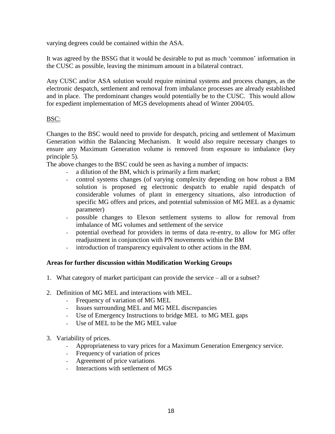varying degrees could be contained within the ASA.

It was agreed by the BSSG that it would be desirable to put as much 'common' information in the CUSC as possible, leaving the minimum amount in a bilateral contract.

Any CUSC and/or ASA solution would require minimal systems and process changes, as the electronic despatch, settlement and removal from imbalance processes are already established and in place. The predominant changes would potentially be to the CUSC. This would allow for expedient implementation of MGS developments ahead of Winter 2004/05.

## BSC:

Changes to the BSC would need to provide for despatch, pricing and settlement of Maximum Generation within the Balancing Mechanism. It would also require necessary changes to ensure any Maximum Generation volume is removed from exposure to imbalance (key principle 5).

The above changes to the BSC could be seen as having a number of impacts:

- a dilution of the BM, which is primarily a firm market;
- control systems changes (of varying complexity depending on how robust a BM solution is proposed eg electronic despatch to enable rapid despatch of considerable volumes of plant in emergency situations, also introduction of specific MG offers and prices, and potential submission of MG MEL as a dynamic parameter)
- possible changes to Elexon settlement systems to allow for removal from imbalance of MG volumes and settlement of the service
- potential overhead for providers in terms of data re-entry, to allow for MG offer readjustment in conjunction with PN movements within the BM
- introduction of transparency equivalent to other actions in the BM.

#### **Areas for further discussion within Modification Working Groups**

- 1. What category of market participant can provide the service all or a subset?
- 2. Definition of MG MEL and interactions with MEL.
	- Frequency of variation of MG MEL
	- Issues surrounding MEL and MG MEL discrepancies
	- Use of Emergency Instructions to bridge MEL to MG MEL gaps
	- Use of MEL to be the MG MEL value
- 3. Variability of prices.
	- Appropriateness to vary prices for a Maximum Generation Emergency service.
	- Frequency of variation of prices
	- Agreement of price variations
	- Interactions with settlement of MGS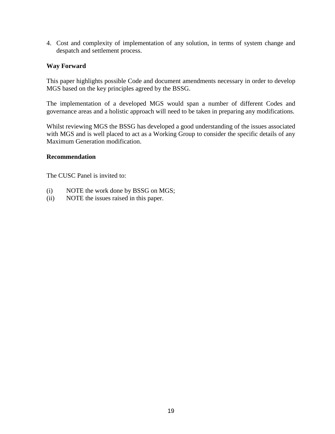4. Cost and complexity of implementation of any solution, in terms of system change and despatch and settlement process.

#### **Way Forward**

This paper highlights possible Code and document amendments necessary in order to develop MGS based on the key principles agreed by the BSSG.

The implementation of a developed MGS would span a number of different Codes and governance areas and a holistic approach will need to be taken in preparing any modifications.

Whilst reviewing MGS the BSSG has developed a good understanding of the issues associated with MGS and is well placed to act as a Working Group to consider the specific details of any Maximum Generation modification.

#### **Recommendation**

The CUSC Panel is invited to:

- (i) NOTE the work done by BSSG on MGS;
- (ii) NOTE the issues raised in this paper.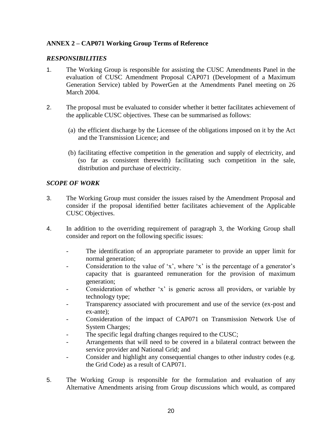## **ANNEX 2 – CAP071 Working Group Terms of Reference**

## *RESPONSIBILITIES*

- 1. The Working Group is responsible for assisting the CUSC Amendments Panel in the evaluation of CUSC Amendment Proposal CAP071 (Development of a Maximum Generation Service) tabled by PowerGen at the Amendments Panel meeting on 26 March 2004.
- 2. The proposal must be evaluated to consider whether it better facilitates achievement of the applicable CUSC objectives. These can be summarised as follows:
	- (a) the efficient discharge by the Licensee of the obligations imposed on it by the Act and the Transmission Licence; and
	- (b) facilitating effective competition in the generation and supply of electricity, and (so far as consistent therewith) facilitating such competition in the sale, distribution and purchase of electricity.

## *SCOPE OF WORK*

- 3. The Working Group must consider the issues raised by the Amendment Proposal and consider if the proposal identified better facilitates achievement of the Applicable CUSC Objectives.
- 4. In addition to the overriding requirement of paragraph 3, the Working Group shall consider and report on the following specific issues:
	- The identification of an appropriate parameter to provide an upper limit for normal generation;
	- Consideration to the value of 'x', where 'x' is the percentage of a generator's capacity that is guaranteed remuneration for the provision of maximum generation;
	- Consideration of whether 'x' is generic across all providers, or variable by technology type;
	- Transparency associated with procurement and use of the service (ex-post and ex-ante);
	- Consideration of the impact of CAP071 on Transmission Network Use of System Charges;
	- The specific legal drafting changes required to the CUSC;
	- Arrangements that will need to be covered in a bilateral contract between the service provider and National Grid; and
	- Consider and highlight any consequential changes to other industry codes (e.g. the Grid Code) as a result of CAP071.
- 5. The Working Group is responsible for the formulation and evaluation of any Alternative Amendments arising from Group discussions which would, as compared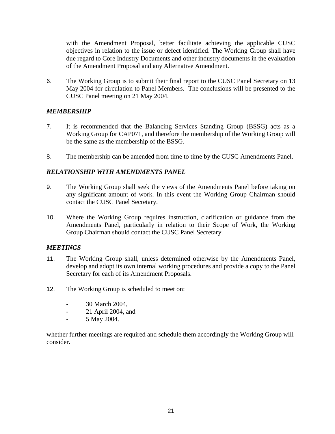with the Amendment Proposal, better facilitate achieving the applicable CUSC objectives in relation to the issue or defect identified. The Working Group shall have due regard to Core Industry Documents and other industry documents in the evaluation of the Amendment Proposal and any Alternative Amendment.

6. The Working Group is to submit their final report to the CUSC Panel Secretary on 13 May 2004 for circulation to Panel Members. The conclusions will be presented to the CUSC Panel meeting on 21 May 2004.

## *MEMBERSHIP*

- 7. It is recommended that the Balancing Services Standing Group (BSSG) acts as a Working Group for CAP071, and therefore the membership of the Working Group will be the same as the membership of the BSSG.
- 8. The membership can be amended from time to time by the CUSC Amendments Panel.

## *RELATIONSHIP WITH AMENDMENTS PANEL*

- 9. The Working Group shall seek the views of the Amendments Panel before taking on any significant amount of work. In this event the Working Group Chairman should contact the CUSC Panel Secretary.
- 10. Where the Working Group requires instruction, clarification or guidance from the Amendments Panel, particularly in relation to their Scope of Work, the Working Group Chairman should contact the CUSC Panel Secretary.

## *MEETINGS*

- 11. The Working Group shall, unless determined otherwise by the Amendments Panel, develop and adopt its own internal working procedures and provide a copy to the Panel Secretary for each of its Amendment Proposals.
- 12. The Working Group is scheduled to meet on:
	- 30 March 2004.
	- 21 April 2004, and
	- 5 May 2004.

whether further meetings are required and schedule them accordingly the Working Group will consider**.**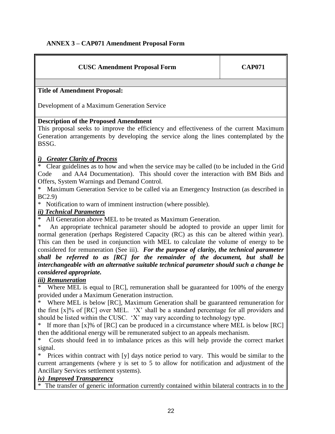## **ANNEX 3 – CAP071 Amendment Proposal Form**

| <b>CUSC Amendment Proposal Form</b>                                                         | <b>CAP071</b> |
|---------------------------------------------------------------------------------------------|---------------|
|                                                                                             |               |
| <b>Title of Amendment Proposal:</b>                                                         |               |
| Development of a Maximum Generation Service                                                 |               |
| <b>Description of the Proposed Amendment</b>                                                |               |
| This proposal seeks to improve the efficiency and effectiveness of the current Maximum      |               |
| Generation arrangements by developing the service along the lines contemplated by the       |               |
| BSSG.                                                                                       |               |
| <i>i)</i> Greater Clarity of Process                                                        |               |
| * Clear guidelines as to how and when the service may be called (to be included in the Grid |               |
| and AA4 Documentation). This should cover the interaction with BM Bids and<br>Code          |               |
| Offers, System Warnings and Demand Control.                                                 |               |
| Maximum Generation Service to be called via an Emergency Instruction (as described in       |               |
| BC2.9                                                                                       |               |
| * Notification to warn of imminent instruction (where possible).                            |               |
| <i>ii</i> ) Technical Parameters                                                            |               |

All Generation above MEL to be treated as Maximum Generation.

An appropriate technical parameter should be adopted to provide an upper limit for normal generation (perhaps Registered Capacity (RC) as this can be altered within year). This can then be used in conjunction with MEL to calculate the volume of energy to be considered for remuneration (See iii).*For the purpose of clarity, the technical parameter shall be referred to as [RC] for the remainder of the document, but shall be interchangeable with an alternative suitable technical parameter should such a change be considered appropriate.* 

## *iii) Remuneration*

Where MEL is equal to [RC], remuneration shall be guaranteed for 100% of the energy provided under a Maximum Generation instruction.

Where MEL is below [RC], Maximum Generation shall be guaranteed remuneration for the first  $[x]$ % of  $[RC]$  over MEL. 'X' shall be a standard percentage for all providers and should be listed within the CUSC. 'X' may vary according to technology type.

If more than  $[x]$ % of  $[RC]$  can be produced in a circumstance where MEL is below  $[RC]$ then the additional energy will be remunerated subject to an appeals mechanism.

Costs should feed in to imbalance prices as this will help provide the correct market signal.

Prices within contract with [y] days notice period to vary. This would be similar to the current arrangements (where y is set to 5 to allow for notification and adjustment of the Ancillary Services settlement systems).

## *iv) Improved Transparency*

The transfer of generic information currently contained within bilateral contracts in to the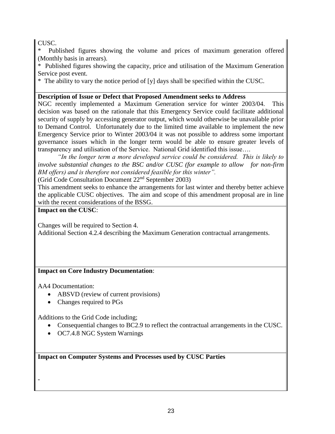CUSC.

Published figures showing the volume and prices of maximum generation offered (Monthly basis in arrears).

\* Published figures showing the capacity, price and utilisation of the Maximum Generation Service post event.

\* The ability to vary the notice period of [y] days shall be specified within the CUSC.

## **Description of Issue or Defect that Proposed Amendment seeks to Address**

NGC recently implemented a Maximum Generation service for winter 2003/04. This decision was based on the rationale that this Emergency Service could facilitate additional security of supply by accessing generator output, which would otherwise be unavailable prior to Demand Control. Unfortunately due to the limited time available to implement the new Emergency Service prior to Winter 2003/04 it was not possible to address some important governance issues which in the longer term would be able to ensure greater levels of transparency and utilisation of the Service. National Grid identified this issue….

*"In the longer term a more developed service could be considered. This is likely to involve substantial changes to the BSC and/or CUSC (for example to allow for non-firm BM offers) and is therefore not considered feasible for this winter".*

(Grid Code Consultation Document 22nd September 2003)

This amendment seeks to enhance the arrangements for last winter and thereby better achieve the applicable CUSC objectives. The aim and scope of this amendment proposal are in line with the recent considerations of the BSSG.

## **Impact on the CUSC**:

Changes will be required to Section 4.

Additional Section 4.2.4 describing the Maximum Generation contractual arrangements.

## **Impact on Core Industry Documentation**:

AA4 Documentation:

-

- ABSVD (review of current provisions)
- Changes required to PGs

Additions to the Grid Code including;

- Consequential changes to BC2.9 to reflect the contractual arrangements in the CUSC.
- OC7.4.8 NGC System Warnings

**Impact on Computer Systems and Processes used by CUSC Parties**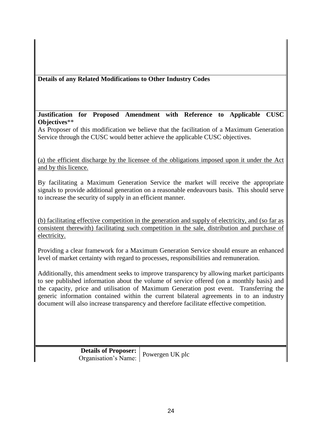# **Details of any Related Modifications to Other Industry Codes**

## **Justification for Proposed Amendment with Reference to Applicable CUSC Objectives**\*\*

As Proposer of this modification we believe that the facilitation of a Maximum Generation Service through the CUSC would better achieve the applicable CUSC objectives.

(a) the efficient discharge by the licensee of the obligations imposed upon it under the Act and by this licence.

By facilitating a Maximum Generation Service the market will receive the appropriate signals to provide additional generation on a reasonable endeavours basis. This should serve to increase the security of supply in an efficient manner.

(b) facilitating effective competition in the generation and supply of electricity, and (so far as consistent therewith) facilitating such competition in the sale, distribution and purchase of electricity.

Providing a clear framework for a Maximum Generation Service should ensure an enhanced level of market certainty with regard to processes, responsibilities and remuneration.

Additionally, this amendment seeks to improve transparency by allowing market participants to see published information about the volume of service offered (on a monthly basis) and the capacity, price and utilisation of Maximum Generation post event. Transferring the generic information contained within the current bilateral agreements in to an industry document will also increase transparency and therefore facilitate effective competition.

> **Details of Proposer:** Organisation's Name: Powergen UK plc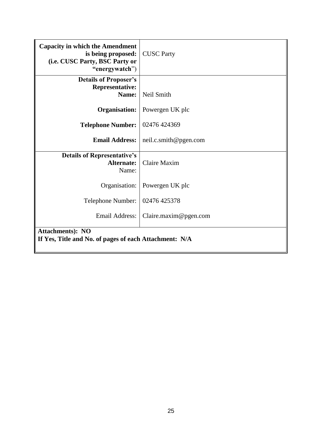| <b>Capacity in which the Amendment</b><br>is being proposed:<br>(i.e. CUSC Party, BSC Party or<br>"energywatch") | <b>CUSC Party</b>     |  |  |
|------------------------------------------------------------------------------------------------------------------|-----------------------|--|--|
| <b>Details of Proposer's</b><br><b>Representative:</b><br>Name:                                                  | Neil Smith            |  |  |
| <b>Organisation:</b>                                                                                             | Powergen UK plc       |  |  |
| <b>Telephone Number:</b>                                                                                         | 02476 424369          |  |  |
| <b>Email Address:</b>                                                                                            | neil.c.smith@pgen.com |  |  |
| <b>Details of Representative's</b><br><b>Alternate:</b><br>Name:                                                 | <b>Claire Maxim</b>   |  |  |
| Organisation:                                                                                                    | Powergen UK plc       |  |  |
| Telephone Number:                                                                                                | 02476 425378          |  |  |
| <b>Email Address:</b>                                                                                            | Claire.maxim@pgen.com |  |  |
| <b>Attachments</b> ): NO<br>If Yes, Title and No. of pages of each Attachment: N/A                               |                       |  |  |